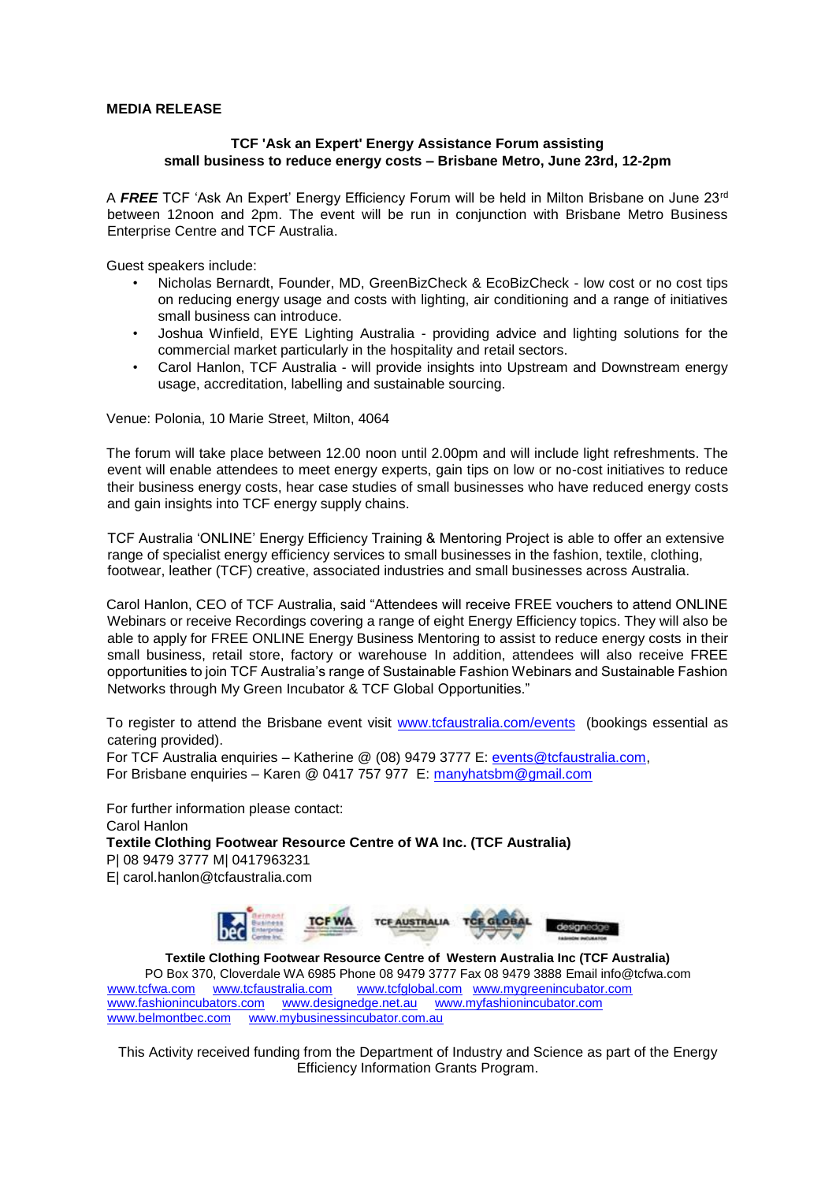## **MEDIA RELEASE**

## **TCF 'Ask an Expert' Energy Assistance Forum assisting small business to reduce energy costs – Brisbane Metro, June 23rd, 12-2pm**

A *FREE* TCF 'Ask An Expert' Energy Efficiency Forum will be held in Milton Brisbane on June 23rd between 12noon and 2pm. The event will be run in conjunction with Brisbane Metro Business Enterprise Centre and TCF Australia.

Guest speakers include:

- Nicholas Bernardt, Founder, MD, GreenBizCheck & EcoBizCheck low cost or no cost tips on reducing energy usage and costs with lighting, air conditioning and a range of initiatives small business can introduce.
- Joshua Winfield, EYE Lighting Australia providing advice and lighting solutions for the commercial market particularly in the hospitality and retail sectors.
- Carol Hanlon, TCF Australia will provide insights into Upstream and Downstream energy usage, accreditation, labelling and sustainable sourcing.

Venue: Polonia, 10 Marie Street, Milton, 4064

The forum will take place between 12.00 noon until 2.00pm and will include light refreshments. The event will enable attendees to meet energy experts, gain tips on low or no-cost initiatives to reduce their business energy costs, hear case studies of small businesses who have reduced energy costs and gain insights into TCF energy supply chains.

TCF Australia 'ONLINE' Energy Efficiency Training & Mentoring Project is able to offer an extensive range of specialist energy efficiency services to small businesses in the fashion, textile, clothing, footwear, leather (TCF) creative, associated industries and small businesses across Australia.

Carol Hanlon, CEO of TCF Australia, said "Attendees will receive FREE vouchers to attend ONLINE Webinars or receive Recordings covering a range of eight Energy Efficiency topics. They will also be able to apply for FREE ONLINE Energy Business Mentoring to assist to reduce energy costs in their small business, retail store, factory or warehouse In addition, attendees will also receive FREE opportunities to join TCF Australia's range of Sustainable Fashion Webinars and Sustainable Fashion Networks through My Green Incubator & TCF Global Opportunities."

To register to attend the Brisbane event visit [www.tcfaustralia.com/events](http://www.tcfaustralia.com/events) (bookings essential as catering provided).

For TCF Australia enquiries – Katherine @ (08) 9479 3777 E: events@tcfaustralia.com, For Brisbane enquiries – Karen @ 0417 757 977 E: manyhatsbm@gmail.com

For further information please contact: Carol Hanlon **Textile Clothing Footwear Resource Centre of WA Inc. (TCF Australia)**  P| 08 9479 3777 M| 0417963231 E| carol.hanlon@tcfaustralia.com



**Textile Clothing Footwear Resource Centre of Western Australia Inc (TCF Australia)** PO Box 370, Cloverdale WA 6985 Phone 08 9479 3777 Fax 08 9479 3888 Email info@tcfwa.com [www.tcfwa.com](http://www.tcfwa.com/) [www.tcfaustralia.com](http://www.tcfaustralia.com/) [www.tcfglobal.com](http://www.tcfglobal.com/) www.mygreenincubator.com [www.fashionincubators.com](http://www.fashionincubators.com/) [www.designedge.net.au](http://www.designedge.net.au/) www.myfashionincubator.com<br>www.belmontbec.com www.mybusinessincubator.com.au www.mybusinessincubator.com.au

This Activity received funding from the Department of Industry and Science as part of the Energy Efficiency Information Grants Program.